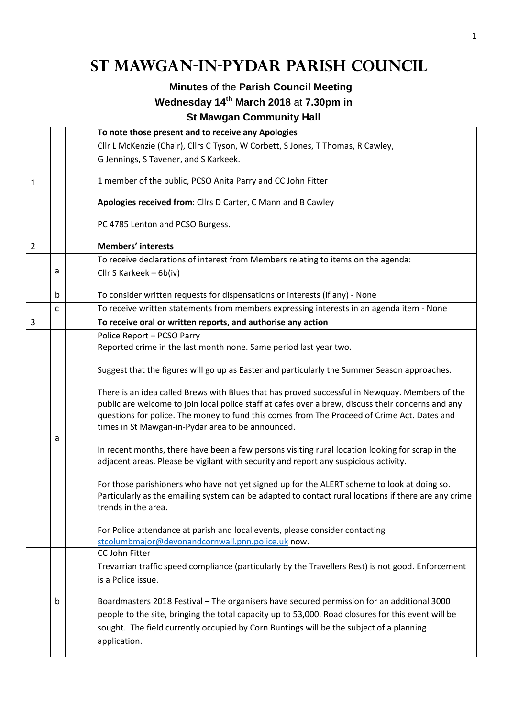## **St Mawgan-in-Pydar Parish Council**

## **Minutes** of the **Parish Council Meeting Wednesday 14th March 2018** at **7.30pm in**

**St Mawgan Community Hall** 

|                |   | To note those present and to receive any Apologies                                                                                                                                                                                                                                                                                                       |  |  |  |
|----------------|---|----------------------------------------------------------------------------------------------------------------------------------------------------------------------------------------------------------------------------------------------------------------------------------------------------------------------------------------------------------|--|--|--|
|                |   | Cllr L McKenzie (Chair), Cllrs C Tyson, W Corbett, S Jones, T Thomas, R Cawley,                                                                                                                                                                                                                                                                          |  |  |  |
|                |   | G Jennings, S Tavener, and S Karkeek.                                                                                                                                                                                                                                                                                                                    |  |  |  |
| 1              |   | 1 member of the public, PCSO Anita Parry and CC John Fitter                                                                                                                                                                                                                                                                                              |  |  |  |
|                |   | Apologies received from: Cllrs D Carter, C Mann and B Cawley                                                                                                                                                                                                                                                                                             |  |  |  |
|                |   | PC 4785 Lenton and PCSO Burgess.                                                                                                                                                                                                                                                                                                                         |  |  |  |
| $\overline{2}$ |   | <b>Members' interests</b>                                                                                                                                                                                                                                                                                                                                |  |  |  |
|                |   | To receive declarations of interest from Members relating to items on the agenda:                                                                                                                                                                                                                                                                        |  |  |  |
|                | а | Cllr S Karkeek - 6b(iv)                                                                                                                                                                                                                                                                                                                                  |  |  |  |
|                | b | To consider written requests for dispensations or interests (if any) - None                                                                                                                                                                                                                                                                              |  |  |  |
|                | C | To receive written statements from members expressing interests in an agenda item - None                                                                                                                                                                                                                                                                 |  |  |  |
| 3              |   | To receive oral or written reports, and authorise any action                                                                                                                                                                                                                                                                                             |  |  |  |
|                |   | Police Report - PCSO Parry                                                                                                                                                                                                                                                                                                                               |  |  |  |
|                |   | Reported crime in the last month none. Same period last year two.                                                                                                                                                                                                                                                                                        |  |  |  |
|                |   | Suggest that the figures will go up as Easter and particularly the Summer Season approaches.                                                                                                                                                                                                                                                             |  |  |  |
|                |   | There is an idea called Brews with Blues that has proved successful in Newquay. Members of the<br>public are welcome to join local police staff at cafes over a brew, discuss their concerns and any<br>questions for police. The money to fund this comes from The Proceed of Crime Act. Dates and<br>times in St Mawgan-in-Pydar area to be announced. |  |  |  |
|                | а | In recent months, there have been a few persons visiting rural location looking for scrap in the<br>adjacent areas. Please be vigilant with security and report any suspicious activity.                                                                                                                                                                 |  |  |  |
|                |   | For those parishioners who have not yet signed up for the ALERT scheme to look at doing so.<br>Particularly as the emailing system can be adapted to contact rural locations if there are any crime<br>trends in the area.                                                                                                                               |  |  |  |
|                |   | For Police attendance at parish and local events, please consider contacting<br>stcolumbmajor@devonandcornwall.pnn.police.uk now.                                                                                                                                                                                                                        |  |  |  |
|                |   | CC John Fitter                                                                                                                                                                                                                                                                                                                                           |  |  |  |
|                |   | Trevarrian traffic speed compliance (particularly by the Travellers Rest) is not good. Enforcement<br>is a Police issue.                                                                                                                                                                                                                                 |  |  |  |
|                | b | Boardmasters 2018 Festival - The organisers have secured permission for an additional 3000<br>people to the site, bringing the total capacity up to 53,000. Road closures for this event will be<br>sought. The field currently occupied by Corn Buntings will be the subject of a planning<br>application.                                              |  |  |  |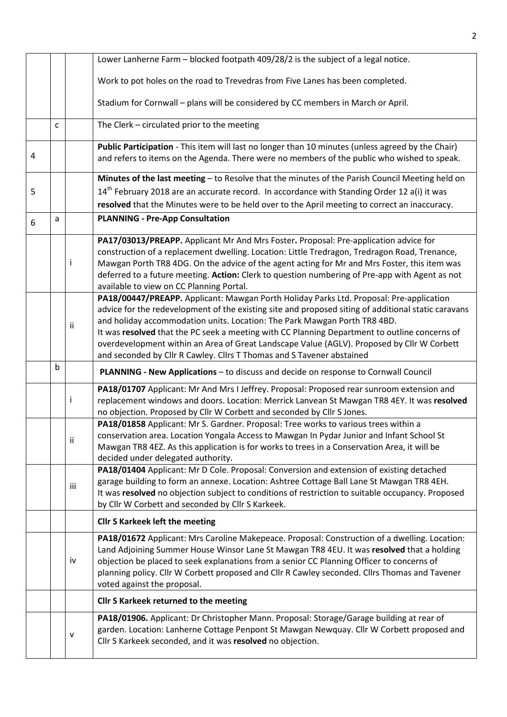|   |             |                                                                                               | Lower Lanherne Farm - blocked footpath 409/28/2 is the subject of a legal notice.                                                                                                                |  |  |  |  |
|---|-------------|-----------------------------------------------------------------------------------------------|--------------------------------------------------------------------------------------------------------------------------------------------------------------------------------------------------|--|--|--|--|
|   |             |                                                                                               | Work to pot holes on the road to Trevedras from Five Lanes has been completed.                                                                                                                   |  |  |  |  |
|   |             |                                                                                               | Stadium for Cornwall - plans will be considered by CC members in March or April.                                                                                                                 |  |  |  |  |
|   | C           |                                                                                               | The Clerk - circulated prior to the meeting                                                                                                                                                      |  |  |  |  |
| 4 |             |                                                                                               | Public Participation - This item will last no longer than 10 minutes (unless agreed by the Chair)<br>and refers to items on the Agenda. There were no members of the public who wished to speak. |  |  |  |  |
|   |             |                                                                                               | Minutes of the last meeting - to Resolve that the minutes of the Parish Council Meeting held on                                                                                                  |  |  |  |  |
| 5 |             | $14th$ February 2018 are an accurate record. In accordance with Standing Order 12 a(i) it was |                                                                                                                                                                                                  |  |  |  |  |
|   | a           |                                                                                               | resolved that the Minutes were to be held over to the April meeting to correct an inaccuracy.<br><b>PLANNING - Pre-App Consultation</b>                                                          |  |  |  |  |
| 6 |             |                                                                                               |                                                                                                                                                                                                  |  |  |  |  |
|   |             |                                                                                               | PA17/03013/PREAPP. Applicant Mr And Mrs Foster. Proposal: Pre-application advice for                                                                                                             |  |  |  |  |
|   |             |                                                                                               | construction of a replacement dwelling. Location: Little Tredragon, Tredragon Road, Trenance,                                                                                                    |  |  |  |  |
|   |             | Ť                                                                                             | Mawgan Porth TR8 4DG. On the advice of the agent acting for Mr and Mrs Foster, this item was<br>deferred to a future meeting. Action: Clerk to question numbering of Pre-app with Agent as not   |  |  |  |  |
|   |             |                                                                                               | available to view on CC Planning Portal.                                                                                                                                                         |  |  |  |  |
|   |             |                                                                                               | PA18/00447/PREAPP. Applicant: Mawgan Porth Holiday Parks Ltd. Proposal: Pre-application                                                                                                          |  |  |  |  |
|   |             |                                                                                               | advice for the redevelopment of the existing site and proposed siting of additional static caravans                                                                                              |  |  |  |  |
|   |             | ii                                                                                            | and holiday accommodation units. Location: The Park Mawgan Porth TR8 4BD.                                                                                                                        |  |  |  |  |
|   |             |                                                                                               | It was resolved that the PC seek a meeting with CC Planning Department to outline concerns of                                                                                                    |  |  |  |  |
|   |             |                                                                                               | overdevelopment within an Area of Great Landscape Value (AGLV). Proposed by Cllr W Corbett                                                                                                       |  |  |  |  |
|   | $\mathsf b$ |                                                                                               | and seconded by Cllr R Cawley. Cllrs T Thomas and S Tavener abstained                                                                                                                            |  |  |  |  |
|   |             |                                                                                               | PLANNING - New Applications - to discuss and decide on response to Cornwall Council                                                                                                              |  |  |  |  |
|   |             |                                                                                               | PA18/01707 Applicant: Mr And Mrs I Jeffrey. Proposal: Proposed rear sunroom extension and                                                                                                        |  |  |  |  |
|   |             | Ť                                                                                             | replacement windows and doors. Location: Merrick Lanvean St Mawgan TR8 4EY. It was resolved                                                                                                      |  |  |  |  |
|   |             |                                                                                               | no objection. Proposed by Cllr W Corbett and seconded by Cllr S Jones.<br>PA18/01858 Applicant: Mr S. Gardner. Proposal: Tree works to various trees within a                                    |  |  |  |  |
|   |             |                                                                                               |                                                                                                                                                                                                  |  |  |  |  |
|   |             |                                                                                               |                                                                                                                                                                                                  |  |  |  |  |
|   |             | ii                                                                                            | conservation area. Location Yongala Access to Mawgan In Pydar Junior and Infant School St                                                                                                        |  |  |  |  |
|   |             |                                                                                               | Mawgan TR8 4EZ. As this application is for works to trees in a Conservation Area, it will be<br>decided under delegated authority.                                                               |  |  |  |  |
|   |             |                                                                                               | PA18/01404 Applicant: Mr D Cole. Proposal: Conversion and extension of existing detached                                                                                                         |  |  |  |  |
|   |             |                                                                                               | garage building to form an annexe. Location: Ashtree Cottage Ball Lane St Mawgan TR8 4EH.                                                                                                        |  |  |  |  |
|   |             | iii                                                                                           | It was resolved no objection subject to conditions of restriction to suitable occupancy. Proposed                                                                                                |  |  |  |  |
|   |             |                                                                                               | by Cllr W Corbett and seconded by Cllr S Karkeek.                                                                                                                                                |  |  |  |  |
|   |             |                                                                                               | <b>Cllr S Karkeek left the meeting</b>                                                                                                                                                           |  |  |  |  |
|   |             |                                                                                               | PA18/01672 Applicant: Mrs Caroline Makepeace. Proposal: Construction of a dwelling. Location:                                                                                                    |  |  |  |  |
|   |             |                                                                                               | Land Adjoining Summer House Winsor Lane St Mawgan TR8 4EU. It was resolved that a holding                                                                                                        |  |  |  |  |
|   |             | iv                                                                                            | objection be placed to seek explanations from a senior CC Planning Officer to concerns of                                                                                                        |  |  |  |  |
|   |             |                                                                                               | planning policy. Cllr W Corbett proposed and Cllr R Cawley seconded. Cllrs Thomas and Tavener                                                                                                    |  |  |  |  |
|   |             |                                                                                               | voted against the proposal.                                                                                                                                                                      |  |  |  |  |
|   |             |                                                                                               | <b>Cllr S Karkeek returned to the meeting</b>                                                                                                                                                    |  |  |  |  |
|   |             |                                                                                               | PA18/01906. Applicant: Dr Christopher Mann. Proposal: Storage/Garage building at rear of                                                                                                         |  |  |  |  |
|   |             | v                                                                                             | garden. Location: Lanherne Cottage Penpont St Mawgan Newquay. Cllr W Corbett proposed and<br>Cllr S Karkeek seconded, and it was resolved no objection.                                          |  |  |  |  |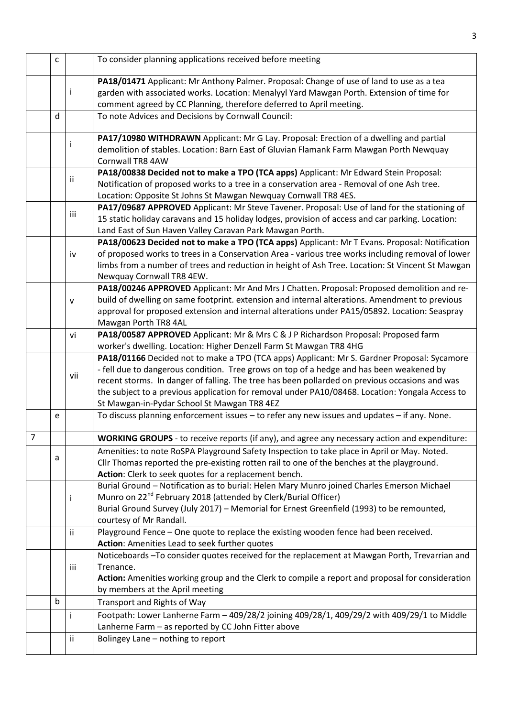|                | $\mathsf{C}$                                                                                                                                                                                                                                                 |              | To consider planning applications received before meeting                                                                                                                                                                                                                                                                                                                                                                                   |  |  |  |
|----------------|--------------------------------------------------------------------------------------------------------------------------------------------------------------------------------------------------------------------------------------------------------------|--------------|---------------------------------------------------------------------------------------------------------------------------------------------------------------------------------------------------------------------------------------------------------------------------------------------------------------------------------------------------------------------------------------------------------------------------------------------|--|--|--|
|                |                                                                                                                                                                                                                                                              | ÷            | PA18/01471 Applicant: Mr Anthony Palmer. Proposal: Change of use of land to use as a tea<br>garden with associated works. Location: Menalyyl Yard Mawgan Porth. Extension of time for<br>comment agreed by CC Planning, therefore deferred to April meeting.                                                                                                                                                                                |  |  |  |
|                | d                                                                                                                                                                                                                                                            |              | To note Advices and Decisions by Cornwall Council:                                                                                                                                                                                                                                                                                                                                                                                          |  |  |  |
|                |                                                                                                                                                                                                                                                              | ÷            | PA17/10980 WITHDRAWN Applicant: Mr G Lay. Proposal: Erection of a dwelling and partial<br>demolition of stables. Location: Barn East of Gluvian Flamank Farm Mawgan Porth Newquay<br>Cornwall TR8 4AW                                                                                                                                                                                                                                       |  |  |  |
|                | PA18/00838 Decided not to make a TPO (TCA apps) Applicant: Mr Edward Stein Proposal:<br>jj.<br>Notification of proposed works to a tree in a conservation area - Removal of one Ash tree.<br>Location: Opposite St Johns St Mawgan Newquay Cornwall TR8 4ES. |              |                                                                                                                                                                                                                                                                                                                                                                                                                                             |  |  |  |
|                |                                                                                                                                                                                                                                                              | iii          | PA17/09687 APPROVED Applicant: Mr Steve Tavener. Proposal: Use of land for the stationing of<br>15 static holiday caravans and 15 holiday lodges, provision of access and car parking. Location:<br>Land East of Sun Haven Valley Caravan Park Mawgan Porth.                                                                                                                                                                                |  |  |  |
|                |                                                                                                                                                                                                                                                              | iv           | PA18/00623 Decided not to make a TPO (TCA apps) Applicant: Mr T Evans. Proposal: Notification<br>of proposed works to trees in a Conservation Area - various tree works including removal of lower<br>limbs from a number of trees and reduction in height of Ash Tree. Location: St Vincent St Mawgan<br>Newquay Cornwall TR8 4EW.                                                                                                         |  |  |  |
|                |                                                                                                                                                                                                                                                              | $\mathsf{V}$ | PA18/00246 APPROVED Applicant: Mr And Mrs J Chatten. Proposal: Proposed demolition and re-<br>build of dwelling on same footprint. extension and internal alterations. Amendment to previous<br>approval for proposed extension and internal alterations under PA15/05892. Location: Seaspray<br>Mawgan Porth TR8 4AL                                                                                                                       |  |  |  |
|                |                                                                                                                                                                                                                                                              | vi           | PA18/00587 APPROVED Applicant: Mr & Mrs C & J P Richardson Proposal: Proposed farm<br>worker's dwelling. Location: Higher Denzell Farm St Mawgan TR8 4HG                                                                                                                                                                                                                                                                                    |  |  |  |
|                |                                                                                                                                                                                                                                                              | vii          | PA18/01166 Decided not to make a TPO (TCA apps) Applicant: Mr S. Gardner Proposal: Sycamore<br>- fell due to dangerous condition. Tree grows on top of a hedge and has been weakened by<br>recent storms. In danger of falling. The tree has been pollarded on previous occasions and was<br>the subject to a previous application for removal under PA10/08468. Location: Yongala Access to<br>St Mawgan-in-Pydar School St Mawgan TR8 4EZ |  |  |  |
|                | е                                                                                                                                                                                                                                                            |              | To discuss planning enforcement issues - to refer any new issues and updates - if any. None.                                                                                                                                                                                                                                                                                                                                                |  |  |  |
| $\overline{7}$ |                                                                                                                                                                                                                                                              |              | WORKING GROUPS - to receive reports (if any), and agree any necessary action and expenditure:                                                                                                                                                                                                                                                                                                                                               |  |  |  |
|                | a                                                                                                                                                                                                                                                            |              | Amenities: to note RoSPA Playground Safety Inspection to take place in April or May. Noted.<br>Cllr Thomas reported the pre-existing rotten rail to one of the benches at the playground.<br>Action: Clerk to seek quotes for a replacement bench.                                                                                                                                                                                          |  |  |  |
|                |                                                                                                                                                                                                                                                              | j            | Burial Ground - Notification as to burial: Helen Mary Munro joined Charles Emerson Michael<br>Munro on 22 <sup>nd</sup> February 2018 (attended by Clerk/Burial Officer)<br>Burial Ground Survey (July 2017) - Memorial for Ernest Greenfield (1993) to be remounted,<br>courtesy of Mr Randall.                                                                                                                                            |  |  |  |
|                |                                                                                                                                                                                                                                                              | ii           | Playground Fence - One quote to replace the existing wooden fence had been received.<br>Action: Amenities Lead to seek further quotes                                                                                                                                                                                                                                                                                                       |  |  |  |
|                |                                                                                                                                                                                                                                                              | iii          | Noticeboards-To consider quotes received for the replacement at Mawgan Porth, Trevarrian and<br>Trenance.<br>Action: Amenities working group and the Clerk to compile a report and proposal for consideration<br>by members at the April meeting                                                                                                                                                                                            |  |  |  |
|                | $\mathsf b$                                                                                                                                                                                                                                                  |              | Transport and Rights of Way                                                                                                                                                                                                                                                                                                                                                                                                                 |  |  |  |
|                |                                                                                                                                                                                                                                                              | Ť            | Footpath: Lower Lanherne Farm - 409/28/2 joining 409/28/1, 409/29/2 with 409/29/1 to Middle<br>Lanherne Farm - as reported by CC John Fitter above                                                                                                                                                                                                                                                                                          |  |  |  |
|                |                                                                                                                                                                                                                                                              | ii           | Bolingey Lane - nothing to report                                                                                                                                                                                                                                                                                                                                                                                                           |  |  |  |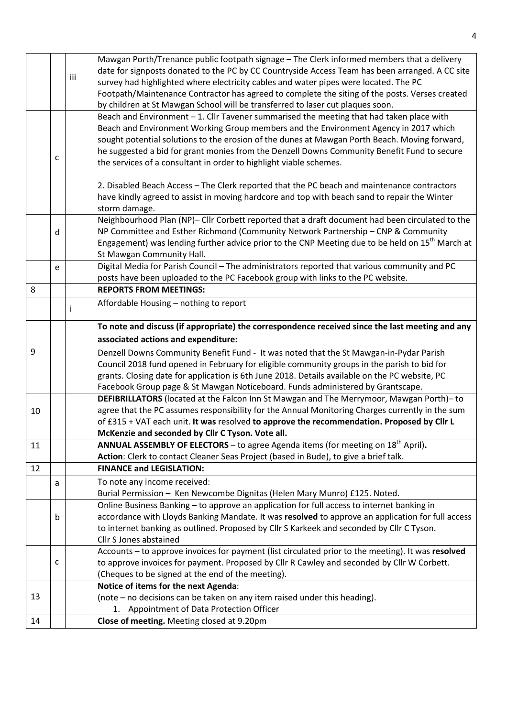|    |   |     | Mawgan Porth/Trenance public footpath signage - The Clerk informed members that a delivery                  |  |  |  |
|----|---|-----|-------------------------------------------------------------------------------------------------------------|--|--|--|
|    |   | iii | date for signposts donated to the PC by CC Countryside Access Team has been arranged. A CC site             |  |  |  |
|    |   |     | survey had highlighted where electricity cables and water pipes were located. The PC                        |  |  |  |
|    |   |     | Footpath/Maintenance Contractor has agreed to complete the siting of the posts. Verses created              |  |  |  |
|    |   |     | by children at St Mawgan School will be transferred to laser cut plaques soon.                              |  |  |  |
|    |   |     | Beach and Environment - 1. Cllr Tavener summarised the meeting that had taken place with                    |  |  |  |
|    |   |     | Beach and Environment Working Group members and the Environment Agency in 2017 which                        |  |  |  |
|    |   |     | sought potential solutions to the erosion of the dunes at Mawgan Porth Beach. Moving forward,               |  |  |  |
|    |   |     | he suggested a bid for grant monies from the Denzell Downs Community Benefit Fund to secure                 |  |  |  |
| C  |   |     | the services of a consultant in order to highlight viable schemes.                                          |  |  |  |
|    |   |     |                                                                                                             |  |  |  |
|    |   |     | 2. Disabled Beach Access - The Clerk reported that the PC beach and maintenance contractors                 |  |  |  |
|    |   |     | have kindly agreed to assist in moving hardcore and top with beach sand to repair the Winter                |  |  |  |
|    |   |     | storm damage.                                                                                               |  |  |  |
|    |   |     | Neighbourhood Plan (NP)- Cllr Corbett reported that a draft document had been circulated to the             |  |  |  |
|    | d |     | NP Committee and Esther Richmond (Community Network Partnership - CNP & Community                           |  |  |  |
|    |   |     | Engagement) was lending further advice prior to the CNP Meeting due to be held on 15 <sup>th</sup> March at |  |  |  |
|    |   |     | St Mawgan Community Hall.                                                                                   |  |  |  |
|    | e |     | Digital Media for Parish Council - The administrators reported that various community and PC                |  |  |  |
|    |   |     | posts have been uploaded to the PC Facebook group with links to the PC website.                             |  |  |  |
| 8  |   |     | <b>REPORTS FROM MEETINGS:</b>                                                                               |  |  |  |
|    |   |     | Affordable Housing - nothing to report                                                                      |  |  |  |
|    |   |     |                                                                                                             |  |  |  |
|    |   |     | To note and discuss (if appropriate) the correspondence received since the last meeting and any             |  |  |  |
|    |   |     | associated actions and expenditure:                                                                         |  |  |  |
| 9  |   |     | Denzell Downs Community Benefit Fund - It was noted that the St Mawgan-in-Pydar Parish                      |  |  |  |
|    |   |     | Council 2018 fund opened in February for eligible community groups in the parish to bid for                 |  |  |  |
|    |   |     | grants. Closing date for application is 6th June 2018. Details available on the PC website, PC              |  |  |  |
|    |   |     | Facebook Group page & St Mawgan Noticeboard. Funds administered by Grantscape.                              |  |  |  |
|    |   |     | DEFIBRILLATORS (located at the Falcon Inn St Mawgan and The Merrymoor, Mawgan Porth)- to                    |  |  |  |
| 10 |   |     | agree that the PC assumes responsibility for the Annual Monitoring Charges currently in the sum             |  |  |  |
|    |   |     | of £315 + VAT each unit. It was resolved to approve the recommendation. Proposed by Cllr L                  |  |  |  |
|    |   |     | McKenzie and seconded by Cllr C Tyson. Vote all.                                                            |  |  |  |
| 11 |   |     | <b>ANNUAL ASSEMBLY OF ELECTORS</b> – to agree Agenda items (for meeting on $18th$ April).                   |  |  |  |
|    |   |     | Action: Clerk to contact Cleaner Seas Project (based in Bude), to give a brief talk.                        |  |  |  |
| 12 |   |     | <b>FINANCE and LEGISLATION:</b>                                                                             |  |  |  |
|    | a |     | To note any income received:                                                                                |  |  |  |
|    |   |     | Burial Permission - Ken Newcombe Dignitas (Helen Mary Munro) £125. Noted.                                   |  |  |  |
|    |   |     | Online Business Banking - to approve an application for full access to internet banking in                  |  |  |  |
|    | b |     | accordance with Lloyds Banking Mandate. It was resolved to approve an application for full access           |  |  |  |
|    |   |     | to internet banking as outlined. Proposed by Cllr S Karkeek and seconded by Cllr C Tyson.                   |  |  |  |
|    |   |     | Cllr S Jones abstained                                                                                      |  |  |  |
|    |   |     | Accounts - to approve invoices for payment (list circulated prior to the meeting). It was resolved          |  |  |  |
|    | c |     | to approve invoices for payment. Proposed by Cllr R Cawley and seconded by Cllr W Corbett.                  |  |  |  |
|    |   |     | (Cheques to be signed at the end of the meeting).                                                           |  |  |  |
|    |   |     | Notice of items for the next Agenda:                                                                        |  |  |  |
| 13 |   |     | (note – no decisions can be taken on any item raised under this heading).                                   |  |  |  |
|    |   |     | Appointment of Data Protection Officer<br>1.                                                                |  |  |  |
| 14 |   |     | Close of meeting. Meeting closed at 9.20pm                                                                  |  |  |  |
|    |   |     |                                                                                                             |  |  |  |